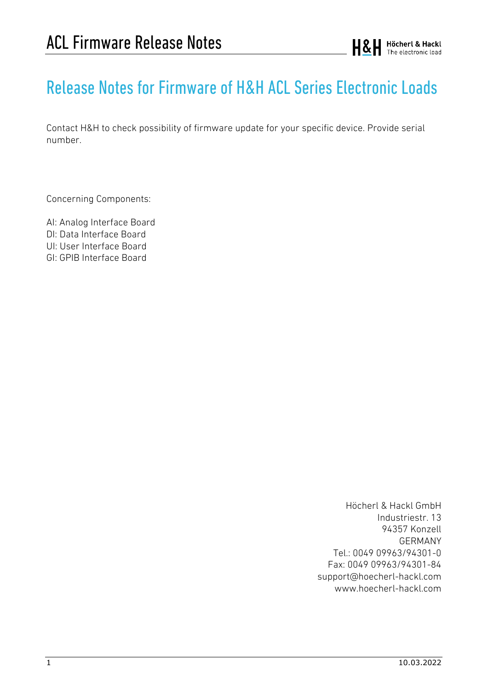# Release Notes for Firmware of H&H ACLSeries Electronic Loads

Contact H&H to check possibility of firmware update for your specific device. Provide serial number.

Concerning Components:

AI: Analog Interface Board DI: Data Interface Board UI: User Interface Board GI: GPIB Interface Board

> Höcherl & Hackl GmbH Industriestr. 13 94357 Konzell GERMANY Tel.: 0049 09963/94301-0 Fax: 0049 09963/94301-84 support@hoecherl-hackl.com www.hoecherl-hackl.com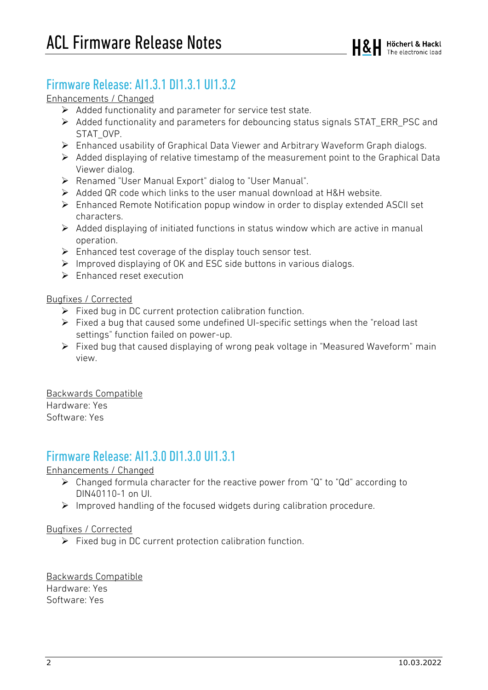### Firmware Release: AI1.3.1 DI1.3.1 UI1.3.2

#### Enhancements / Changed

- $\triangleright$  Added functionality and parameter for service test state.
- $\triangleright$  Added functionality and parameters for debouncing status signals STAT ERR PSC and STAT\_OVP.
- Enhanced usability of Graphical Data Viewer and Arbitrary Waveform Graph dialogs.
- $\triangleright$  Added displaying of relative timestamp of the measurement point to the Graphical Data Viewer dialog.
- Renamed "User Manual Export" dialog to "User Manual".
- Added QR code which links to the user manual download at H&H website.
- $\triangleright$  Enhanced Remote Notification popup window in order to display extended ASCII set characters.
- $\triangleright$  Added displaying of initiated functions in status window which are active in manual operation.
- $\triangleright$  Enhanced test coverage of the display touch sensor test.
- $\triangleright$  Improved displaying of OK and ESC side buttons in various dialogs.
- $\triangleright$  Enhanced reset execution

#### Bugfixes / Corrected

- $\triangleright$  Fixed bug in DC current protection calibration function.
- $\triangleright$  Fixed a bug that caused some undefined UI-specific settings when the "reload last" settings" function failed on power-up.
- Fixed bug that caused displaying of wrong peak voltage in "Measured Waveform" main view.

Backwards Compatible Hardware: Yes Software: Yes

### Firmware Release: AI1.3.0 DI1.3.0 UI1.3.1

Enhancements / Changed

- Changed formula character for the reactive power from "Q" to "Qd" according to DIN40110-1 on UI.
- $\triangleright$  Improved handling of the focused widgets during calibration procedure.

#### Bugfixes / Corrected

 $\triangleright$  Fixed bug in DC current protection calibration function.

Backwards Compatible Hardware: Yes Software: Yes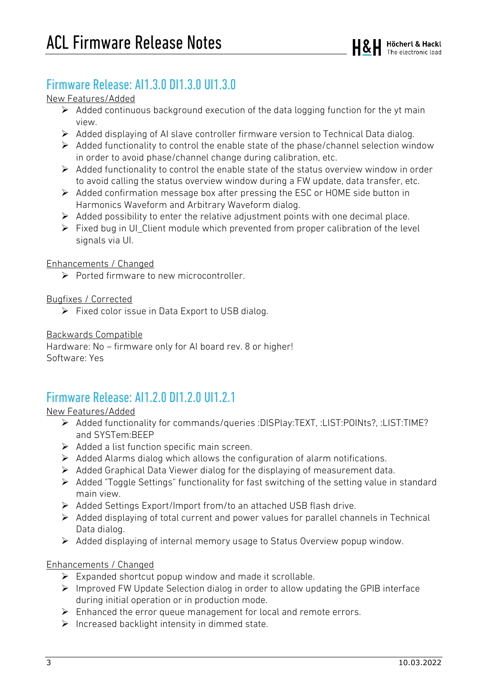### Firmware Release: AI1.3.0 DI1.3.0 UI1.3.0

#### New Features/Added

- $\triangleright$  Added continuous background execution of the data logging function for the yt main view.
- Added displaying of AI slave controller firmware version to Technical Data dialog.
- $\triangleright$  Added functionality to control the enable state of the phase/channel selection window in order to avoid phase/channel change during calibration, etc.
- $\triangleright$  Added functionality to control the enable state of the status overview window in order to avoid calling the status overview window during a FW update, data transfer, etc.
- $\triangleright$  Added confirmation message box after pressing the ESC or HOME side button in Harmonics Waveform and Arbitrary Waveform dialog.
- $\triangleright$  Added possibility to enter the relative adjustment points with one decimal place.
- $\triangleright$  Fixed bug in UI\_Client module which prevented from proper calibration of the level signals via UI.

#### Enhancements / Changed

 $\triangleright$  Ported firmware to new microcontroller.

#### Bugfixes / Corrected

 $\triangleright$  Fixed color issue in Data Export to USB dialog.

#### Backwards Compatible

Hardware: No – firmware only for AI board rev. 8 or higher! Software: Yes

### Firmware Release: AI1.2.0 DI1.2.0 UI1.2.1

#### New Features/Added

- Added functionality for commands/queries :DISPlay:TEXT, :LIST:POINts?, :LIST:TIME? and SYSTem:BEEP
- $\triangleright$  Added a list function specific main screen.
- $\triangleright$  Added Alarms dialog which allows the configuration of alarm notifications.
- $\triangleright$  Added Graphical Data Viewer dialog for the displaying of measurement data.
- Added "Toggle Settings" functionality for fast switching of the setting value in standard main view.
- Added Settings Export/Import from/to an attached USB flash drive.
- $\triangleright$  Added displaying of total current and power values for parallel channels in Technical Data dialog.
- Added displaying of internal memory usage to Status Overview popup window.

#### Enhancements / Changed

- $\triangleright$  Expanded shortcut popup window and made it scrollable.
- $\triangleright$  Improved FW Update Selection dialog in order to allow updating the GPIB interface during initial operation or in production mode.
- $\triangleright$  Enhanced the error queue management for local and remote errors.
- $\triangleright$  Increased backlight intensity in dimmed state.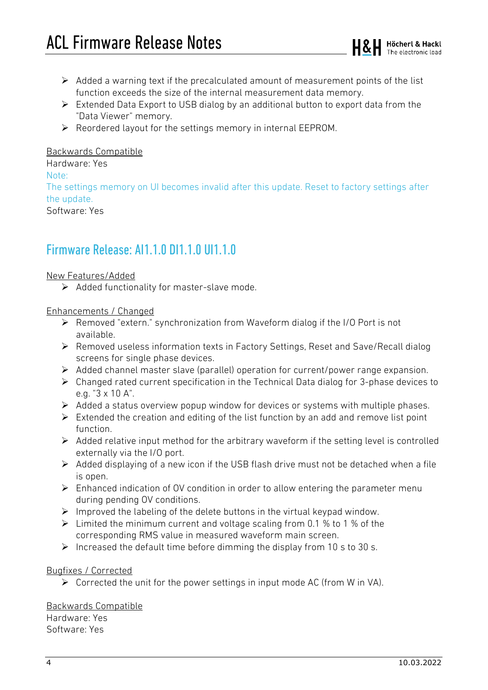- $\triangleright$  Added a warning text if the precalculated amount of measurement points of the list function exceeds the size of the internal measurement data memory.
- $\triangleright$  Extended Data Export to USB dialog by an additional button to export data from the "Data Viewer" memory.
- $\triangleright$  Reordered layout for the settings memory in internal EEPROM.

#### Backwards Compatible

#### Hardware: Yes Note: The settings memory on UI becomes invalid after this update. Reset to factory settings after the update.

Software: Yes

### Firmware Release: AI1.1.0 DI1.1.0 UI1.1.0

#### New Features/Added

 $\triangleright$  Added functionality for master-slave mode.

#### Enhancements / Changed

- Removed "extern." synchronization from Waveform dialog if the I/O Port is not available.
- Removed useless information texts in Factory Settings, Reset and Save/Recall dialog screens for single phase devices.
- $\triangleright$  Added channel master slave (parallel) operation for current/power range expansion.
- $\triangleright$  Changed rated current specification in the Technical Data dialog for 3-phase devices to e.g. "3 x 10 A".
- $\triangleright$  Added a status overview popup window for devices or systems with multiple phases.
- $\triangleright$  Extended the creation and editing of the list function by an add and remove list point function.
- $\triangleright$  Added relative input method for the arbitrary waveform if the setting level is controlled externally via the I/O port.
- $\triangleright$  Added displaying of a new icon if the USB flash drive must not be detached when a file is open.
- $\triangleright$  Enhanced indication of OV condition in order to allow entering the parameter menu during pending OV conditions.
- $\triangleright$  Improved the labeling of the delete buttons in the virtual keypad window.
- $\triangleright$  Limited the minimum current and voltage scaling from 0.1 % to 1 % of the corresponding RMS value in measured waveform main screen.
- $\triangleright$  Increased the default time before dimming the display from 10 s to 30 s.

#### Bugfixes / Corrected

 $\triangleright$  Corrected the unit for the power settings in input mode AC (from W in VA).

#### Backwards Compatible

Hardware: Yes Software: Yes